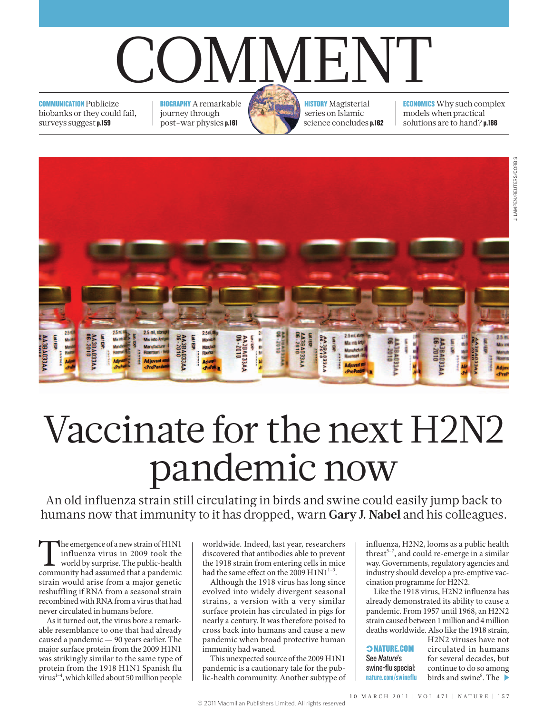## COMMENT

**COMMUNICATION Publicize** biobanks or they could fail, surveys suggest p.159

BIOGRAPHY A remarkable journey through post-war physics p.161

**HISTORY** Magisterial series on Islamic science concludes p.162

ECONOMICS Why such complex models when practical solutions are to hand? p.166



## Vaccinate for the next H2N2 pandemic now

An old influenza strain still circulating in birds and swine could easily jump back to humans now that immunity to it has dropped, warn **Gary J. Nabel** and his colleagues.

The emergence of a new strain of H1N1 influenza virus in 2009 took the world by surprise. The public-health community had assumed that a pandemic strain would arise from a major genetic reshuffling if RNA from a seasonal strain recombined with RNA from a virus that had never circulated in humans before.

As it turned out, the virus bore a remarkable resemblance to one that had already caused a pandemic — 90 years earlier. The major surface protein from the 2009 H1N1 was strikingly similar to the same type of protein from the 1918 H1N1 Spanish flu virus $1-4$ , which killed about 50 million people

worldwide. Indeed, last year, researchers discovered that antibodies able to prevent the 1918 strain from entering cells in mice had the same effect on the 2009  $H1N1^{1-3}$ .

Although the 1918 virus has long since evolved into widely divergent seasonal strains, a version with a very similar surface protein has circulated in pigs for nearly a century. It was therefore poised to cross back into humans and cause a new pandemic when broad protective human immunity had waned.

This unexpected source of the 2009 H1N1 pandemic is a cautionary tale for the public-health community. Another subtype of influenza, H2N2, looms as a public health threat<sup>5-7</sup>, and could re-emerge in a similar way. Governments, regulatory agencies and industry should develop a pre-emptive vaccination programme for H2N2.

Like the 1918 virus, H2N2 influenza has already demonstrated its ability to cause a pandemic. From 1957 until 1968, an H2N2 strain caused between 1 million and 4 million deaths worldwide. Also like the 1918 strain,

| <b>CONATURE.COM</b> |
|---------------------|
| See Nature's        |
| swine-flu special:  |
| nature.com/swineflu |

H2N2 viruses have not circulated in humans for several decades, but continue to do so among birds and swine<sup>8</sup>. The